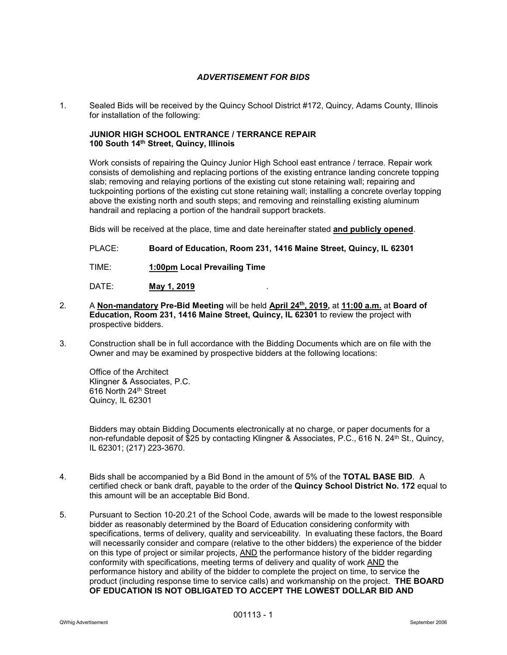## *ADVERTISEMENT FOR BIDS*

1. Sealed Bids will be received by the Quincy School District #172, Quincy, Adams County, Illinois for installation of the following:

## **JUNIOR HIGH SCHOOL ENTRANCE / TERRANCE REPAIR 100 South 14th Street, Quincy, Illinois**

Work consists of repairing the Quincy Junior High School east entrance / terrace. Repair work consists of demolishing and replacing portions of the existing entrance landing concrete topping slab; removing and relaying portions of the existing cut stone retaining wall; repairing and tuckpointing portions of the existing cut stone retaining wall; installing a concrete overlay topping above the existing north and south steps; and removing and reinstalling existing aluminum handrail and replacing a portion of the handrail support brackets.

Bids will be received at the place, time and date hereinafter stated **and publicly opened**.

PLACE: **Board of Education, Room 231, 1416 Maine Street, Quincy, IL 62301**

TIME: **1:00pm Local Prevailing Time**

DATE: **May 1, 2019**.

- 2. A **Non-mandatory Pre-Bid Meeting** will be held **April 24th, 2019,** at **11:00 a.m.** at **Board of Education, Room 231, 1416 Maine Street, Quincy, IL 62301** to review the project with prospective bidders.
- 3. Construction shall be in full accordance with the Bidding Documents which are on file with the Owner and may be examined by prospective bidders at the following locations:

Office of the Architect Klingner & Associates, P.C. 616 North 24th Street Quincy, IL 62301

Bidders may obtain Bidding Documents electronically at no charge, or paper documents for a non-refundable deposit of \$25 by contacting Klingner & Associates, P.C., 616 N. 24<sup>th</sup> St., Quincy, IL 62301; (217) 223-3670.

- 4. Bids shall be accompanied by a Bid Bond in the amount of 5% of the **TOTAL BASE BID**. A certified check or bank draft, payable to the order of the **Quincy School District No. 172** equal to this amount will be an acceptable Bid Bond.
- 5. Pursuant to Section 10-20.21 of the School Code, awards will be made to the lowest responsible bidder as reasonably determined by the Board of Education considering conformity with specifications, terms of delivery, quality and serviceability. In evaluating these factors, the Board will necessarily consider and compare (relative to the other bidders) the experience of the bidder on this type of project or similar projects, AND the performance history of the bidder regarding conformity with specifications, meeting terms of delivery and quality of work AND the performance history and ability of the bidder to complete the project on time, to service the product (including response time to service calls) and workmanship on the project. **THE BOARD OF EDUCATION IS NOT OBLIGATED TO ACCEPT THE LOWEST DOLLAR BID AND**